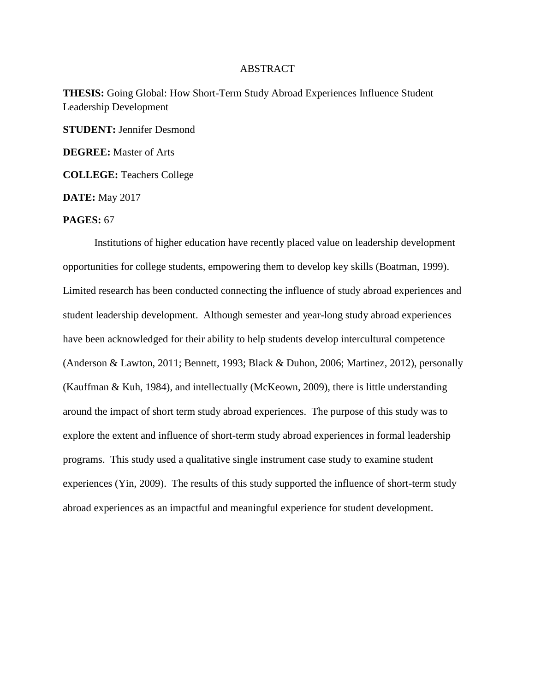## ABSTRACT

**THESIS:** Going Global: How Short-Term Study Abroad Experiences Influence Student Leadership Development

**STUDENT:** Jennifer Desmond

**DEGREE:** Master of Arts

**COLLEGE:** Teachers College

**DATE:** May 2017

## **PAGES:** 67

Institutions of higher education have recently placed value on leadership development opportunities for college students, empowering them to develop key skills (Boatman, 1999). Limited research has been conducted connecting the influence of study abroad experiences and student leadership development. Although semester and year-long study abroad experiences have been acknowledged for their ability to help students develop intercultural competence (Anderson & Lawton, 2011; Bennett, 1993; Black & Duhon, 2006; Martinez, 2012), personally (Kauffman & Kuh, 1984), and intellectually (McKeown, 2009), there is little understanding around the impact of short term study abroad experiences. The purpose of this study was to explore the extent and influence of short-term study abroad experiences in formal leadership programs. This study used a qualitative single instrument case study to examine student experiences (Yin, 2009). The results of this study supported the influence of short-term study abroad experiences as an impactful and meaningful experience for student development.